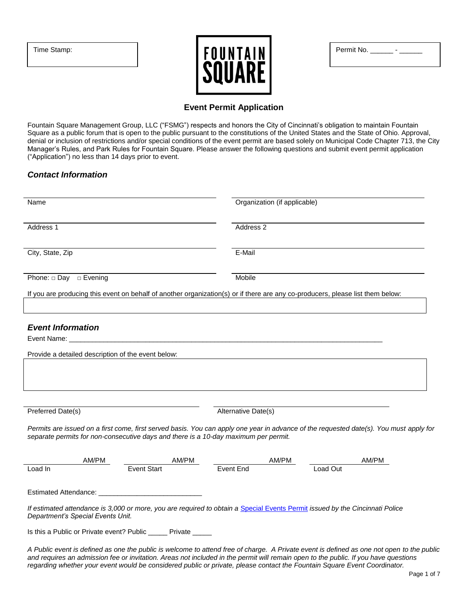|  | Time Stamp: |
|--|-------------|
|--|-------------|



# **Event Permit Application**

Fountain Square Management Group, LLC ("FSMG") respects and honors the City of Cincinnati's obligation to maintain Fountain Square as a public forum that is open to the public pursuant to the constitutions of the United States and the State of Ohio. Approval, denial or inclusion of restrictions and/or special conditions of the event permit are based solely on Municipal Code Chapter 713, the City Manager's Rules, and Park Rules for Fountain Square. Please answer the following questions and submit event permit application ("Application") no less than 14 days prior to event.

# *Contact Information*

| Name                                                                                                                                                                                                                                                                                                                                                                                                          |                                                                                                                  |                      | Organization (if applicable) |          |       |  |
|---------------------------------------------------------------------------------------------------------------------------------------------------------------------------------------------------------------------------------------------------------------------------------------------------------------------------------------------------------------------------------------------------------------|------------------------------------------------------------------------------------------------------------------|----------------------|------------------------------|----------|-------|--|
| Address 1                                                                                                                                                                                                                                                                                                                                                                                                     |                                                                                                                  | Address <sub>2</sub> |                              |          |       |  |
| City, State, Zip                                                                                                                                                                                                                                                                                                                                                                                              |                                                                                                                  | E-Mail               |                              |          |       |  |
| Phone: $\square$ Day $\square$ Evening                                                                                                                                                                                                                                                                                                                                                                        |                                                                                                                  | Mobile               |                              |          |       |  |
| If you are producing this event on behalf of another organization(s) or if there are any co-producers, please list them below:                                                                                                                                                                                                                                                                                |                                                                                                                  |                      |                              |          |       |  |
| <b>Event Information</b><br>Event Name:<br>Provide a detailed description of the event below:                                                                                                                                                                                                                                                                                                                 | and the control of the control of the control of the control of the control of the control of the control of the |                      |                              |          |       |  |
| Preferred Date(s)                                                                                                                                                                                                                                                                                                                                                                                             |                                                                                                                  | Alternative Date(s)  |                              |          |       |  |
| Permits are issued on a first come, first served basis. You can apply one year in advance of the requested date(s). You must apply for<br>separate permits for non-consecutive days and there is a 10-day maximum per permit.                                                                                                                                                                                 |                                                                                                                  |                      |                              |          |       |  |
| AM/PM                                                                                                                                                                                                                                                                                                                                                                                                         | AM/PM                                                                                                            |                      | AM/PM                        |          | AM/PM |  |
| Load In                                                                                                                                                                                                                                                                                                                                                                                                       | <b>Event Start</b>                                                                                               | <b>Event End</b>     |                              | Load Out |       |  |
| Estimated Attendance:                                                                                                                                                                                                                                                                                                                                                                                         |                                                                                                                  |                      |                              |          |       |  |
| If estimated attendance is 3,000 or more, you are required to obtain a Special Events Permit issued by the Cincinnati Police<br>Department's Special Events Unit.                                                                                                                                                                                                                                             |                                                                                                                  |                      |                              |          |       |  |
| Is this a Public or Private event? Public ______ Private _____                                                                                                                                                                                                                                                                                                                                                |                                                                                                                  |                      |                              |          |       |  |
| A Public event is defined as one the public is welcome to attend free of charge. A Private event is defined as one not open to the public<br>and requires an admission fee or invitation. Areas not included in the permit will remain open to the public. If you have questions<br>regarding whether your event would be considered public or private, please contact the Fountain Square Event Coordinator. |                                                                                                                  |                      |                              |          |       |  |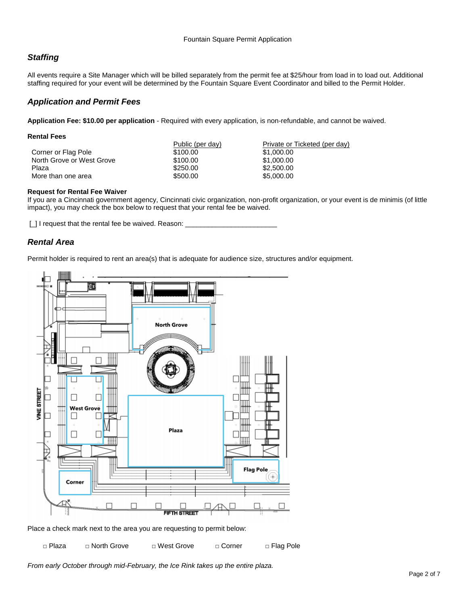# *Staffing*

All events require a Site Manager which will be billed separately from the permit fee at \$25/hour from load in to load out. Additional staffing required for your event will be determined by the Fountain Square Event Coordinator and billed to the Permit Holder.

## *Application and Permit Fees*

**Application Fee: \$10.00 per application** - Required with every application, is non-refundable, and cannot be waived.

| <b>Rental Fees</b>        |                  |                               |
|---------------------------|------------------|-------------------------------|
|                           | Public (per day) | Private or Ticketed (per day) |
| Corner or Flag Pole       | \$100.00         | \$1,000.00                    |
| North Grove or West Grove | \$100.00         | \$1,000.00                    |
| Plaza                     | \$250.00         | \$2,500,00                    |
| More than one area        | \$500.00         | \$5,000.00                    |

## **Request for Rental Fee Waiver**

If you are a Cincinnati government agency, Cincinnati civic organization, non-profit organization, or your event is de minimis (of little impact), you may check the box below to request that your rental fee be waived.

[] I request that the rental fee be waived. Reason:

# *Rental Area*

Permit holder is required to rent an area(s) that is adequate for audience size, structures and/or equipment.



Place a check mark next to the area you are requesting to permit below:

□ Plaza □ North Grove □ West Grove □ Corner □ Flag Pole

*From early October through mid-February, the Ice Rink takes up the entire plaza.*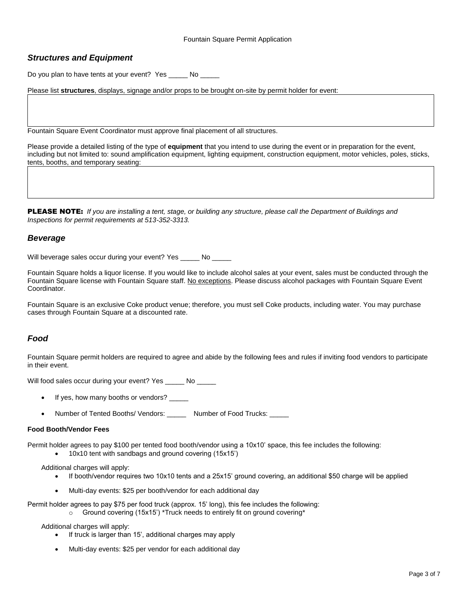# *Structures and Equipment*

Do you plan to have tents at your event? Yes No

Please list **structures**, displays, signage and/or props to be brought on-site by permit holder for event:

Fountain Square Event Coordinator must approve final placement of all structures.

Please provide a detailed listing of the type of **equipment** that you intend to use during the event or in preparation for the event, including but not limited to: sound amplification equipment, lighting equipment, construction equipment, motor vehicles, poles, sticks, tents, booths, and temporary seating:

PLEASE NOTE: *If you are installing a tent, stage, or building any structure, please call the Department of Buildings and Inspections for permit requirements at 513-352-3313.*

## *Beverage*

Will beverage sales occur during your event? Yes No

Fountain Square holds a liquor license. If you would like to include alcohol sales at your event, sales must be conducted through the Fountain Square license with Fountain Square staff. No exceptions. Please discuss alcohol packages with Fountain Square Event Coordinator.

Fountain Square is an exclusive Coke product venue; therefore, you must sell Coke products, including water. You may purchase cases through Fountain Square at a discounted rate.

# *Food*

Fountain Square permit holders are required to agree and abide by the following fees and rules if inviting food vendors to participate in their event.

Will food sales occur during your event? Yes No

- If yes, how many booths or vendors?
- Number of Tented Booths/ Vendors: \_\_\_\_\_\_\_ Number of Food Trucks:

#### **Food Booth/Vendor Fees**

Permit holder agrees to pay \$100 per tented food booth/vendor using a 10x10' space, this fee includes the following:

- 10x10 tent with sandbags and ground covering (15x15')
- Additional charges will apply:
	- If booth/vendor requires two 10x10 tents and a 25x15' ground covering, an additional \$50 charge will be applied
	- Multi-day events: \$25 per booth/vendor for each additional day

Permit holder agrees to pay \$75 per food truck (approx. 15' long), this fee includes the following: o Ground covering (15x15') \*Truck needs to entirely fit on ground covering\*

Additional charges will apply:

- If truck is larger than 15', additional charges may apply
- Multi-day events: \$25 per vendor for each additional day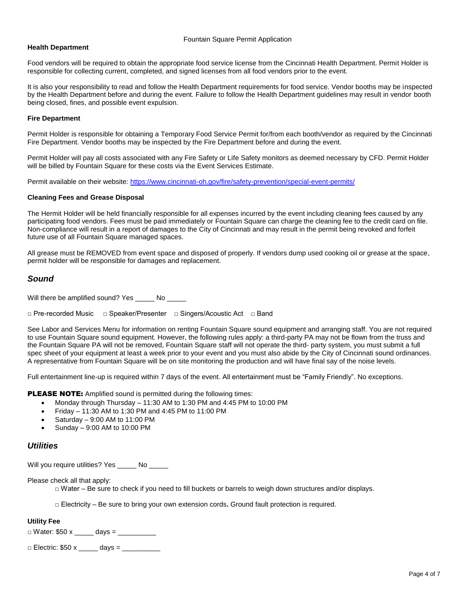#### **Health Department**

Food vendors will be required to obtain the appropriate food service license from the Cincinnati Health Department. Permit Holder is responsible for collecting current, completed, and signed licenses from all food vendors prior to the event.

It is also your responsibility to read and follow the Health Department requirements for food service. Vendor booths may be inspected by the Health Department before and during the event. Failure to follow the Health Department guidelines may result in vendor booth being closed, fines, and possible event expulsion.

#### **Fire Department**

Permit Holder is responsible for obtaining a Temporary Food Service Permit for/from each booth/vendor as required by the Cincinnati Fire Department. Vendor booths may be inspected by the Fire Department before and during the event.

Permit Holder will pay all costs associated with any Fire Safety or Life Safety monitors as deemed necessary by CFD. Permit Holder will be billed by Fountain Square for these costs via the Event Services Estimate.

Permit available on their website:<https://www.cincinnati-oh.gov/fire/safety-prevention/special-event-permits/>

#### **Cleaning Fees and Grease Disposal**

The Hermit Holder will be held financially responsible for all expenses incurred by the event including cleaning fees caused by any participating food vendors. Fees must be paid immediately or Fountain Square can charge the cleaning fee to the credit card on file. Non-compliance will result in a report of damages to the City of Cincinnati and may result in the permit being revoked and forfeit future use of all Fountain Square managed spaces.

All grease must be REMOVED from event space and disposed of properly. If vendors dump used cooking oil or grease at the space, permit holder will be responsible for damages and replacement.

## *Sound*

Will there be amplified sound? Yes \_\_\_\_\_ No \_\_\_\_\_

□ Pre-recorded Music □ Speaker/Presenter □ Singers/Acoustic Act □ Band

See Labor and Services Menu for information on renting Fountain Square sound equipment and arranging staff. You are not required to use Fountain Square sound equipment. However, the following rules apply: a third-party PA may not be flown from the truss and the Fountain Square PA will not be removed, Fountain Square staff will not operate the third- party system, you must submit a full spec sheet of your equipment at least a week prior to your event and you must also abide by the City of Cincinnati sound ordinances. A representative from Fountain Square will be on site monitoring the production and will have final say of the noise levels.

Full entertainment line-up is required within 7 days of the event. All entertainment must be "Family Friendly". No exceptions.

PLEASE NOTE: Amplified sound is permitted during the following times:

- Monday through Thursday 11:30 AM to 1:30 PM and 4:45 PM to 10:00 PM
- Friday 11:30 AM to 1:30 PM and 4:45 PM to 11:00 PM
- Saturday 9:00 AM to 11:00 PM
- Sunday 9:00 AM to 10:00 PM

## *Utilities*

Will you require utilities? Yes \_\_\_\_\_ No \_\_\_\_\_

Please check all that apply:

□ Water – Be sure to check if you need to fill buckets or barrels to weigh down structures and/or displays.

□ Electricity – Be sure to bring your own extension cords**.** Ground fault protection is required.

#### **Utility Fee**

 $\Box$  Water: \$50 x \_\_\_\_\_\_\_ days = \_\_\_\_\_

| $\Box$ Electric: \$50 x | $\diamond$ days $=$ |
|-------------------------|---------------------|
|-------------------------|---------------------|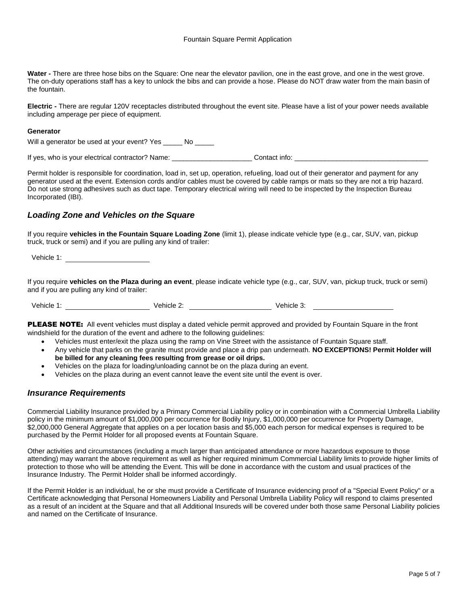**Water -** There are three hose bibs on the Square: One near the elevator pavilion, one in the east grove, and one in the west grove. The on-duty operations staff has a key to unlock the bibs and can provide a hose. Please do NOT draw water from the main basin of the fountain.

**Electric -** There are regular 120V receptacles distributed throughout the event site. Please have a list of your power needs available including amperage per piece of equipment.

#### **Generator**

Will a generator be used at your event? Yes No

If yes, who is your electrical contractor? Name: \_\_\_\_\_\_\_\_\_\_\_\_\_\_\_\_\_\_\_\_\_\_\_\_\_\_Contact info: \_\_\_

Permit holder is responsible for coordination, load in, set up, operation, refueling, load out of their generator and payment for any generator used at the event. Extension cords and/or cables must be covered by cable ramps or mats so they are not a trip hazard. Do not use strong adhesives such as duct tape. Temporary electrical wiring will need to be inspected by the Inspection Bureau Incorporated (IBI).

## *Loading Zone and Vehicles on the Square*

If you require **vehicles in the Fountain Square Loading Zone** (limit 1), please indicate vehicle type (e.g., car, SUV, van, pickup truck, truck or semi) and if you are pulling any kind of trailer:

Vehicle 1:

If you require **vehicles on the Plaza during an event**, please indicate vehicle type (e.g., car, SUV, van, pickup truck, truck or semi) and if you are pulling any kind of trailer:

Vehicle 1: <u>Consumer State of Vehicle 2:</u> Consumer 2: Vehicle 2: Vehicle 3:

PLEASE NOTE: All event vehicles must display a dated vehicle permit approved and provided by Fountain Square in the front windshield for the duration of the event and adhere to the following guidelines:

- Vehicles must enter/exit the plaza using the ramp on Vine Street with the assistance of Fountain Square staff.
- Any vehicle that parks on the granite must provide and place a drip pan underneath. **NO EXCEPTIONS! Permit Holder will be billed for any cleaning fees resulting from grease or oil drips.**
- Vehicles on the plaza for loading/unloading cannot be on the plaza during an event.
- Vehicles on the plaza during an event cannot leave the event site until the event is over.

## *Insurance Requirements*

Commercial Liability Insurance provided by a Primary Commercial Liability policy or in combination with a Commercial Umbrella Liability policy in the minimum amount of \$1,000,000 per occurrence for Bodily Injury, \$1,000,000 per occurrence for Property Damage, \$2,000,000 General Aggregate that applies on a per location basis and \$5,000 each person for medical expenses is required to be purchased by the Permit Holder for all proposed events at Fountain Square.

Other activities and circumstances (including a much larger than anticipated attendance or more hazardous exposure to those attending) may warrant the above requirement as well as higher required minimum Commercial Liability limits to provide higher limits of protection to those who will be attending the Event. This will be done in accordance with the custom and usual practices of the Insurance Industry. The Permit Holder shall be informed accordingly.

If the Permit Holder is an individual, he or she must provide a Certificate of Insurance evidencing proof of a "Special Event Policy" or a Certificate acknowledging that Personal Homeowners Liability and Personal Umbrella Liability Policy will respond to claims presented as a result of an incident at the Square and that all Additional Insureds will be covered under both those same Personal Liability policies and named on the Certificate of Insurance.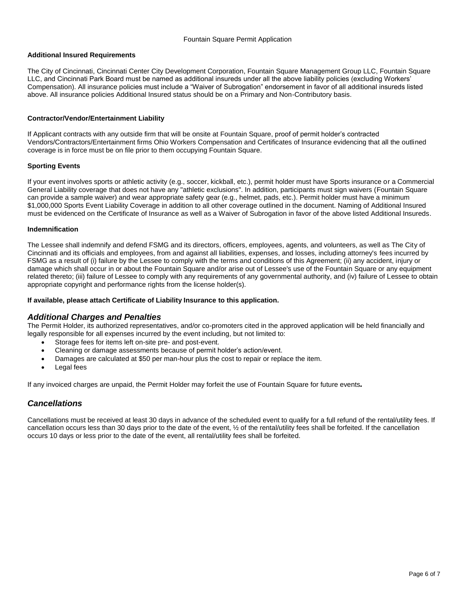## **Additional Insured Requirements**

The City of Cincinnati, Cincinnati Center City Development Corporation, Fountain Square Management Group LLC, Fountain Square LLC, and Cincinnati Park Board must be named as additional insureds under all the above liability policies (excluding Workers' Compensation). All insurance policies must include a "Waiver of Subrogation" endorsement in favor of all additional insureds listed above. All insurance policies Additional Insured status should be on a Primary and Non-Contributory basis.

### **Contractor/Vendor/Entertainment Liability**

If Applicant contracts with any outside firm that will be onsite at Fountain Square, proof of permit holder's contracted Vendors/Contractors/Entertainment firms Ohio Workers Compensation and Certificates of Insurance evidencing that all the outlined coverage is in force must be on file prior to them occupying Fountain Square.

## **Sporting Events**

If your event involves sports or athletic activity (e.g., soccer, kickball, etc.), permit holder must have Sports insurance or a Commercial General Liability coverage that does not have any "athletic exclusions". In addition, participants must sign waivers (Fountain Square can provide a sample waiver) and wear appropriate safety gear (e.g., helmet, pads, etc.). Permit holder must have a minimum \$1,000,000 Sports Event Liability Coverage in addition to all other coverage outlined in the document. Naming of Additional Insured must be evidenced on the Certificate of Insurance as well as a Waiver of Subrogation in favor of the above listed Additional Insureds.

#### **Indemnification**

The Lessee shall indemnify and defend FSMG and its directors, officers, employees, agents, and volunteers, as well as The City of Cincinnati and its officials and employees, from and against all liabilities, expenses, and losses, including attorney's fees incurred by FSMG as a result of (i) failure by the Lessee to comply with the terms and conditions of this Agreement; (ii) any accident, injury or damage which shall occur in or about the Fountain Square and/or arise out of Lessee's use of the Fountain Square or any equipment related thereto; (iii) failure of Lessee to comply with any requirements of any governmental authority, and (iv) failure of Lessee to obtain appropriate copyright and performance rights from the license holder(s).

#### **If available, please attach Certificate of Liability Insurance to this application.**

## *Additional Charges and Penalties*

The Permit Holder, its authorized representatives, and/or co-promoters cited in the approved application will be held financially and legally responsible for all expenses incurred by the event including, but not limited to:

- Storage fees for items left on-site pre- and post-event.
- Cleaning or damage assessments because of permit holder's action/event.
- Damages are calculated at \$50 per man-hour plus the cost to repair or replace the item.
- Legal fees

If any invoiced charges are unpaid, the Permit Holder may forfeit the use of Fountain Square for future events*.*

## *Cancellations*

Cancellations must be received at least 30 days in advance of the scheduled event to qualify for a full refund of the rental/utility fees. If cancellation occurs less than 30 days prior to the date of the event, ½ of the rental/utility fees shall be forfeited. If the cancellation occurs 10 days or less prior to the date of the event, all rental/utility fees shall be forfeited.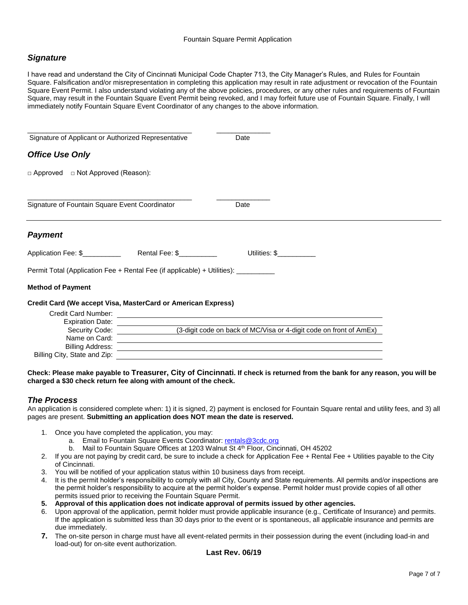# *Signature*

I have read and understand the City of Cincinnati Municipal Code Chapter 713, the City Manager's Rules, and Rules for Fountain Square. Falsification and/or misrepresentation in completing this application may result in rate adjustment or revocation of the Fountain Square Event Permit. I also understand violating any of the above policies, procedures, or any other rules and requirements of Fountain Square, may result in the Fountain Square Event Permit being revoked, and I may forfeit future use of Fountain Square. Finally, I will immediately notify Fountain Square Event Coordinator of any changes to the above information.

| Signature of Applicant or Authorized Representative                                                                                                                                                                            | Date                                                                                                                  |
|--------------------------------------------------------------------------------------------------------------------------------------------------------------------------------------------------------------------------------|-----------------------------------------------------------------------------------------------------------------------|
| <b>Office Use Only</b>                                                                                                                                                                                                         |                                                                                                                       |
| □ Approved □ Not Approved (Reason):                                                                                                                                                                                            |                                                                                                                       |
| Signature of Fountain Square Event Coordinator                                                                                                                                                                                 | Date                                                                                                                  |
| <b>Payment</b>                                                                                                                                                                                                                 |                                                                                                                       |
|                                                                                                                                                                                                                                | Utilities: \$                                                                                                         |
| Permit Total (Application Fee + Rental Fee (if applicable) + Utilities): ________                                                                                                                                              |                                                                                                                       |
| <b>Method of Payment</b>                                                                                                                                                                                                       |                                                                                                                       |
| Credit Card (We accept Visa, MasterCard or American Express)                                                                                                                                                                   |                                                                                                                       |
| Credit Card Number: \\overline{\\overline{\\overline{\\overline{\\overline{\\overline{\\overline{\\overline{\\overline{\\overline{\\overline{\\overline{\\overline{\\overline{\\overline{\\overline{\\overline{\\overline{\\ov |                                                                                                                       |
| Expiration Date: _________________                                                                                                                                                                                             |                                                                                                                       |
| Security Code: Security Code:                                                                                                                                                                                                  | (3-digit code on back of MC/Visa or 4-digit code on front of AmEx)                                                    |
| Name on Card:                                                                                                                                                                                                                  | <u> 1989 - Johann Stoff, deutscher Stoff, der Stoff, der Stoff, der Stoff, der Stoff, der Stoff, der Stoff, der S</u> |
| <b>Billing Address:</b>                                                                                                                                                                                                        |                                                                                                                       |
| Billing City, State and Zip:                                                                                                                                                                                                   |                                                                                                                       |

#### **Check: Please make payable to Treasurer, City of Cincinnati. If check is returned from the bank for any reason, you will be charged a \$30 check return fee along with amount of the check.**

# *The Process*

An application is considered complete when: 1) it is signed, 2) payment is enclosed for Fountain Square rental and utility fees, and 3) all pages are present. **Submitting an application does NOT mean the date is reserved.**

- 1. Once you have completed the application, you may:
	- a. Email to Fountain Square Events Coordinator: [rentals@3cdc.org](mailto:rentals@3cdc.org)
	- b. Mail to Fountain Square Offices at 1203 Walnut St 4<sup>th</sup> Floor, Cincinnati, OH 45202
- 2. If you are not paying by credit card, be sure to include a check for Application Fee + Rental Fee + Utilities payable to the City of Cincinnati.
- 3. You will be notified of your application status within 10 business days from receipt.
- 4. It is the permit holder's responsibility to comply with all City, County and State requirements. All permits and/or inspections are the permit holder's responsibility to acquire at the permit holder's expense. Permit holder must provide copies of all other permits issued prior to receiving the Fountain Square Permit.
- **5. Approval of this application does not indicate approval of permits issued by other agencies.**
- 6. Upon approval of the application, permit holder must provide applicable insurance (e.g., Certificate of Insurance) and permits. If the application is submitted less than 30 days prior to the event or is spontaneous, all applicable insurance and permits are due immediately.
- **7.** The on-site person in charge must have all event-related permits in their possession during the event (including load-in and load-out) for on-site event authorization.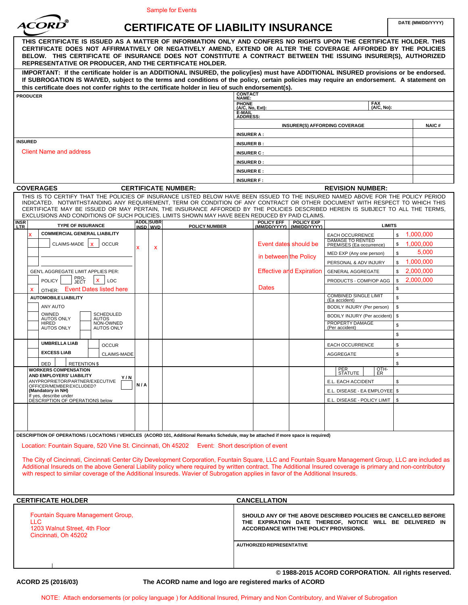

# CERTIFICATE OF LIABILITY INSURANCE

|                                                                                                                                                                                                                                                                                                                                                                                                                                                                                                    |                                                 | <b>Sample for Events</b>                  |                                                                                                                            |                                   |                                        |                                                     |               |                   |  |
|----------------------------------------------------------------------------------------------------------------------------------------------------------------------------------------------------------------------------------------------------------------------------------------------------------------------------------------------------------------------------------------------------------------------------------------------------------------------------------------------------|-------------------------------------------------|-------------------------------------------|----------------------------------------------------------------------------------------------------------------------------|-----------------------------------|----------------------------------------|-----------------------------------------------------|---------------|-------------------|--|
|                                                                                                                                                                                                                                                                                                                                                                                                                                                                                                    |                                                 | <b>CERTIFICATE OF LIABILITY INSURANCE</b> |                                                                                                                            |                                   |                                        |                                                     |               | DATE (MM/DD/YYYY) |  |
| THIS CERTIFICATE IS ISSUED AS A MATTER OF INFORMATION ONLY AND CONFERS NO RIGHTS UPON THE CERTIFICATE HOLDER. THIS<br>CERTIFICATE DOES NOT AFFIRMATIVELY OR NEGATIVELY AMEND, EXTEND OR ALTER THE COVERAGE AFFORDED BY THE POLICIES<br>BELOW. THIS CERTIFICATE OF INSURANCE DOES NOT CONSTITUTE A CONTRACT BETWEEN THE ISSUING INSURER(S), AUTHORIZED<br>REPRESENTATIVE OR PRODUCER, AND THE CERTIFICATE HOLDER.                                                                                   |                                                 |                                           |                                                                                                                            |                                   |                                        |                                                     |               |                   |  |
| IMPORTANT: If the certificate holder is an ADDITIONAL INSURED, the policy(ies) must have ADDITIONAL INSURED provisions or be endorsed.<br>If SUBROGATION IS WAIVED, subject to the terms and conditions of the policy, certain policies may require an endorsement. A statement on                                                                                                                                                                                                                 |                                                 |                                           |                                                                                                                            |                                   |                                        |                                                     |               |                   |  |
| this certificate does not confer rights to the certificate holder in lieu of such endorsement(s).                                                                                                                                                                                                                                                                                                                                                                                                  |                                                 |                                           | <b>CONTACT</b>                                                                                                             |                                   |                                        |                                                     |               |                   |  |
| <b>PRODUCER</b>                                                                                                                                                                                                                                                                                                                                                                                                                                                                                    |                                                 |                                           | NAME:                                                                                                                      |                                   |                                        | <b>FAX</b>                                          |               |                   |  |
|                                                                                                                                                                                                                                                                                                                                                                                                                                                                                                    |                                                 |                                           | PHONE<br>(A/C, No, Ext):                                                                                                   |                                   |                                        | (A/C, No):                                          |               |                   |  |
|                                                                                                                                                                                                                                                                                                                                                                                                                                                                                                    |                                                 |                                           | E-MAIL<br><b>ADDRESS:</b>                                                                                                  |                                   |                                        |                                                     |               |                   |  |
|                                                                                                                                                                                                                                                                                                                                                                                                                                                                                                    |                                                 |                                           |                                                                                                                            |                                   |                                        | <b>INSURER(S) AFFORDING COVERAGE</b>                |               | <b>NAIC#</b>      |  |
|                                                                                                                                                                                                                                                                                                                                                                                                                                                                                                    |                                                 |                                           | <b>INSURER A:</b>                                                                                                          |                                   |                                        |                                                     |               |                   |  |
| <b>INSURED</b>                                                                                                                                                                                                                                                                                                                                                                                                                                                                                     |                                                 |                                           | <b>INSURER B:</b>                                                                                                          |                                   |                                        |                                                     |               |                   |  |
| <b>Client Name and address</b>                                                                                                                                                                                                                                                                                                                                                                                                                                                                     |                                                 |                                           | <b>INSURER C:</b>                                                                                                          |                                   |                                        |                                                     |               |                   |  |
|                                                                                                                                                                                                                                                                                                                                                                                                                                                                                                    |                                                 |                                           | <b>INSURER D:</b>                                                                                                          |                                   |                                        |                                                     |               |                   |  |
|                                                                                                                                                                                                                                                                                                                                                                                                                                                                                                    |                                                 |                                           | <b>INSURER E:</b>                                                                                                          |                                   |                                        |                                                     |               |                   |  |
|                                                                                                                                                                                                                                                                                                                                                                                                                                                                                                    |                                                 |                                           | <b>INSURER F:</b>                                                                                                          |                                   |                                        |                                                     |               |                   |  |
| <b>COVERAGES</b>                                                                                                                                                                                                                                                                                                                                                                                                                                                                                   |                                                 | <b>CERTIFICATE NUMBER:</b>                |                                                                                                                            |                                   |                                        | <b>REVISION NUMBER:</b>                             |               |                   |  |
| THIS IS TO CERTIFY THAT THE POLICIES OF INSURANCE LISTED BELOW HAVE BEEN ISSUED TO THE INSURED NAMED ABOVE FOR THE POLICY PERIOD<br>INDICATED. NOTWITHSTANDING ANY REQUIREMENT, TERM OR CONDITION OF ANY CONTRACT OR OTHER DOCUMENT WITH RESPECT TO WHICH THIS<br>CERTIFICATE MAY BE ISSUED OR MAY PERTAIN, THE INSURANCE AFFORDED BY THE POLICIES DESCRIBED HEREIN IS SUBJECT TO ALL THE TERMS,<br>EXCLUSIONS AND CONDITIONS OF SUCH POLICIES. LIMITS SHOWN MAY HAVE BEEN REDUCED BY PAID CLAIMS. |                                                 |                                           |                                                                                                                            |                                   |                                        |                                                     |               |                   |  |
| <b>INSR</b><br><b>TYPE OF INSURANCE</b><br><b>LTR</b>                                                                                                                                                                                                                                                                                                                                                                                                                                              | <b>ADDL SUBR</b><br>INSD WVD                    | <b>POLICY NUMBER</b>                      |                                                                                                                            | <b>POLICY EFF</b><br>(MM/DD/YYYY) | <b>POLICY EXP</b><br>(MM/DD/YYYY)      |                                                     | <b>LIMITS</b> |                   |  |
| <b>COMMERCIAL GENERAL LIABILITY</b>                                                                                                                                                                                                                                                                                                                                                                                                                                                                |                                                 |                                           |                                                                                                                            |                                   |                                        | <b>EACH OCCURRENCE</b>                              | \$            | 1,000,000         |  |
| CLAIMS-MADE  <br>$\mathbf{x}$<br><b>OCCUR</b>                                                                                                                                                                                                                                                                                                                                                                                                                                                      |                                                 |                                           |                                                                                                                            |                                   | Event dates should be                  | <b>DAMAGE TO RENTED</b><br>PREMISES (Ea occurrence) | \$            | 1,000,000         |  |
|                                                                                                                                                                                                                                                                                                                                                                                                                                                                                                    | x                                               | X                                         |                                                                                                                            |                                   |                                        | MED EXP (Any one person)                            | \$            | 5,000             |  |
|                                                                                                                                                                                                                                                                                                                                                                                                                                                                                                    |                                                 |                                           |                                                                                                                            |                                   | in between the Policy                  | PERSONAL & ADV INJURY                               | \$            | 1,000,000         |  |
| GEN'L AGGREGATE LIMIT APPLIES PER:                                                                                                                                                                                                                                                                                                                                                                                                                                                                 |                                                 |                                           |                                                                                                                            |                                   | <b>Effective and Expiration</b>        | <b>GENERAL AGGREGATE</b>                            | \$            | 2,000,000         |  |
| PRO-<br>JECT<br>$\mathbf{x}$<br><b>POLICY</b><br>LOC                                                                                                                                                                                                                                                                                                                                                                                                                                               |                                                 |                                           |                                                                                                                            |                                   |                                        | PRODUCTS - COMP/OP AGG                              |               | \$2,000,000       |  |
| OTHER: Event Dates listed here<br>x                                                                                                                                                                                                                                                                                                                                                                                                                                                                |                                                 |                                           | <b>Dates</b>                                                                                                               |                                   |                                        |                                                     | \$            |                   |  |
| <b>AUTOMOBILE LIABILITY</b>                                                                                                                                                                                                                                                                                                                                                                                                                                                                        |                                                 |                                           |                                                                                                                            |                                   |                                        | <b>COMBINED SINGLE LIMIT</b><br>(Ea accident)       | \$            |                   |  |
| ANY AUTO                                                                                                                                                                                                                                                                                                                                                                                                                                                                                           |                                                 |                                           |                                                                                                                            |                                   |                                        | BODILY INJURY (Per person)                          | \$            |                   |  |
| OWNED<br><b>SCHEDULED</b><br><b>AUTOS ONLY</b><br><b>AUTOS</b>                                                                                                                                                                                                                                                                                                                                                                                                                                     |                                                 |                                           |                                                                                                                            |                                   |                                        | BODILY INJURY (Per accident)                        | \$            |                   |  |
| NON-OWNED<br><b>HIRED</b><br><b>AUTOS ONLY</b><br><b>AUTOS ONLY</b>                                                                                                                                                                                                                                                                                                                                                                                                                                |                                                 |                                           |                                                                                                                            |                                   |                                        | PROPERTY DAMAGE<br>(Per accident)                   | \$            |                   |  |
|                                                                                                                                                                                                                                                                                                                                                                                                                                                                                                    |                                                 |                                           |                                                                                                                            |                                   |                                        |                                                     | \$            |                   |  |
| <b>UMBRELLA LIAB</b><br><b>OCCUR</b>                                                                                                                                                                                                                                                                                                                                                                                                                                                               |                                                 |                                           |                                                                                                                            |                                   |                                        | <b>EACH OCCURRENCE</b>                              | \$            |                   |  |
| <b>EXCESS LIAB</b><br>CLAIMS-MADE                                                                                                                                                                                                                                                                                                                                                                                                                                                                  |                                                 |                                           |                                                                                                                            |                                   |                                        | AGGREGATE                                           | \$            |                   |  |
| DED<br><b>RETENTION \$</b>                                                                                                                                                                                                                                                                                                                                                                                                                                                                         |                                                 |                                           |                                                                                                                            |                                   |                                        |                                                     | \$            |                   |  |
| <b>WORKERS COMPENSATION</b>                                                                                                                                                                                                                                                                                                                                                                                                                                                                        |                                                 |                                           |                                                                                                                            |                                   |                                        | OTH-<br>ER<br>PER<br>STATUTE                        |               |                   |  |
| AND EMPLOYERS' LIABILITY<br>Y/N<br>ANYPROPRIETOR/PARTNER/EXECUTIVE                                                                                                                                                                                                                                                                                                                                                                                                                                 |                                                 |                                           |                                                                                                                            |                                   |                                        | E.L. EACH ACCIDENT                                  | \$            |                   |  |
| OFFICER/MEMBER EXCLUDED?<br>(Mandatory in NH)                                                                                                                                                                                                                                                                                                                                                                                                                                                      | N/A                                             |                                           |                                                                                                                            |                                   |                                        | E.L. DISEASE - EA EMPLOYEE   \$                     |               |                   |  |
| If yes, describe under<br>DESCRIPTION OF OPERATIONS below                                                                                                                                                                                                                                                                                                                                                                                                                                          |                                                 |                                           |                                                                                                                            |                                   |                                        | E.L. DISEASE - POLICY LIMIT   \$                    |               |                   |  |
|                                                                                                                                                                                                                                                                                                                                                                                                                                                                                                    |                                                 |                                           |                                                                                                                            |                                   |                                        |                                                     |               |                   |  |
|                                                                                                                                                                                                                                                                                                                                                                                                                                                                                                    |                                                 |                                           |                                                                                                                            |                                   |                                        |                                                     |               |                   |  |
|                                                                                                                                                                                                                                                                                                                                                                                                                                                                                                    |                                                 |                                           |                                                                                                                            |                                   |                                        |                                                     |               |                   |  |
| DESCRIPTION OF OPERATIONS / LOCATIONS / VEHICLES (ACORD 101, Additional Remarks Schedule, may be attached if more space is required)                                                                                                                                                                                                                                                                                                                                                               |                                                 |                                           |                                                                                                                            |                                   |                                        |                                                     |               |                   |  |
| Location: Fountain Square, 520 Vine St. Cincinnati, Oh 45202 Event: Short description of event                                                                                                                                                                                                                                                                                                                                                                                                     |                                                 |                                           |                                                                                                                            |                                   |                                        |                                                     |               |                   |  |
|                                                                                                                                                                                                                                                                                                                                                                                                                                                                                                    |                                                 |                                           |                                                                                                                            |                                   |                                        |                                                     |               |                   |  |
| The City of Cincinnati, Cincinnati Center City Development Corporation, Fountain Square, LLC and Fountain Square Management Group, LLC are included as<br>Additional Insureds on the above General Liability policy where required by written contract. The Additional Insured coverage is primary and non-contributory                                                                                                                                                                            |                                                 |                                           |                                                                                                                            |                                   |                                        |                                                     |               |                   |  |
| with respect to similar coverage of the Additional Insureds. Wavier of Subrogation applies in favor of the Additional Insureds.                                                                                                                                                                                                                                                                                                                                                                    |                                                 |                                           |                                                                                                                            |                                   |                                        |                                                     |               |                   |  |
|                                                                                                                                                                                                                                                                                                                                                                                                                                                                                                    |                                                 |                                           |                                                                                                                            |                                   |                                        |                                                     |               |                   |  |
|                                                                                                                                                                                                                                                                                                                                                                                                                                                                                                    |                                                 |                                           |                                                                                                                            |                                   |                                        |                                                     |               |                   |  |
| <b>CERTIFICATE HOLDER</b>                                                                                                                                                                                                                                                                                                                                                                                                                                                                          |                                                 |                                           | <b>CANCELLATION</b>                                                                                                        |                                   |                                        |                                                     |               |                   |  |
|                                                                                                                                                                                                                                                                                                                                                                                                                                                                                                    | Fountain Square Management Group,<br><b>LLC</b> |                                           | SHOULD ANY OF THE ABOVE DESCRIBED POLICIES BE CANCELLED BEFORE<br>THE EXPIRATION DATE THEREOF, NOTICE WILL BE DELIVERED IN |                                   |                                        |                                                     |               |                   |  |
|                                                                                                                                                                                                                                                                                                                                                                                                                                                                                                    |                                                 |                                           |                                                                                                                            |                                   | ACCORDANCE WITH THE POLICY PROVISIONS. |                                                     |               |                   |  |
| 1203 Walnut Street, 4th Floor<br>Cincinnati, Oh 45202                                                                                                                                                                                                                                                                                                                                                                                                                                              |                                                 |                                           |                                                                                                                            |                                   |                                        |                                                     |               |                   |  |
|                                                                                                                                                                                                                                                                                                                                                                                                                                                                                                    |                                                 |                                           | <b>AUTHORIZED REPRESENTATIVE</b>                                                                                           |                                   |                                        |                                                     |               |                   |  |
|                                                                                                                                                                                                                                                                                                                                                                                                                                                                                                    |                                                 |                                           |                                                                                                                            |                                   |                                        |                                                     |               |                   |  |
|                                                                                                                                                                                                                                                                                                                                                                                                                                                                                                    |                                                 |                                           |                                                                                                                            |                                   |                                        |                                                     |               |                   |  |